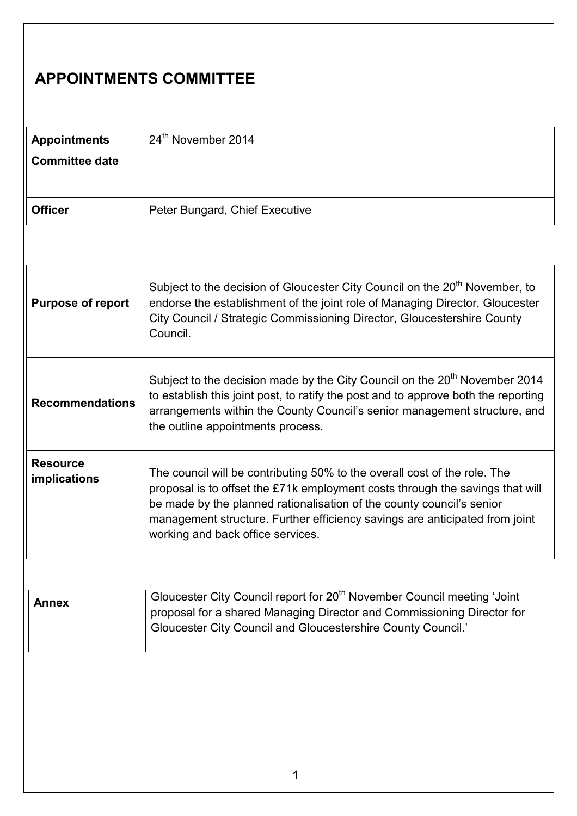## APPOINTMENTS COMMITTEE

| <b>Appointments</b>   | 24 <sup>th</sup> November 2014 |
|-----------------------|--------------------------------|
| <b>Committee date</b> |                                |
|                       |                                |
| <b>Officer</b>        | Peter Bungard, Chief Executive |

| <b>Purpose of report</b>               | Subject to the decision of Gloucester City Council on the 20 <sup>th</sup> November, to<br>endorse the establishment of the joint role of Managing Director, Gloucester<br>City Council / Strategic Commissioning Director, Gloucestershire County<br>Council.                                                                                          |
|----------------------------------------|---------------------------------------------------------------------------------------------------------------------------------------------------------------------------------------------------------------------------------------------------------------------------------------------------------------------------------------------------------|
| <b>Recommendations</b>                 | Subject to the decision made by the City Council on the 20 <sup>th</sup> November 2014<br>to establish this joint post, to ratify the post and to approve both the reporting<br>arrangements within the County Council's senior management structure, and<br>the outline appointments process.                                                          |
| <b>Resource</b><br><i>implications</i> | The council will be contributing 50% to the overall cost of the role. The<br>proposal is to offset the £71k employment costs through the savings that will<br>be made by the planned rationalisation of the county council's senior<br>management structure. Further efficiency savings are anticipated from joint<br>working and back office services. |

| Annex | Gloucester City Council report for 20 <sup>th</sup> November Council meeting 'Joint |
|-------|-------------------------------------------------------------------------------------|
|       | proposal for a shared Managing Director and Commissioning Director for              |
|       | <b>Gloucester City Council and Gloucestershire County Council.'</b>                 |
|       |                                                                                     |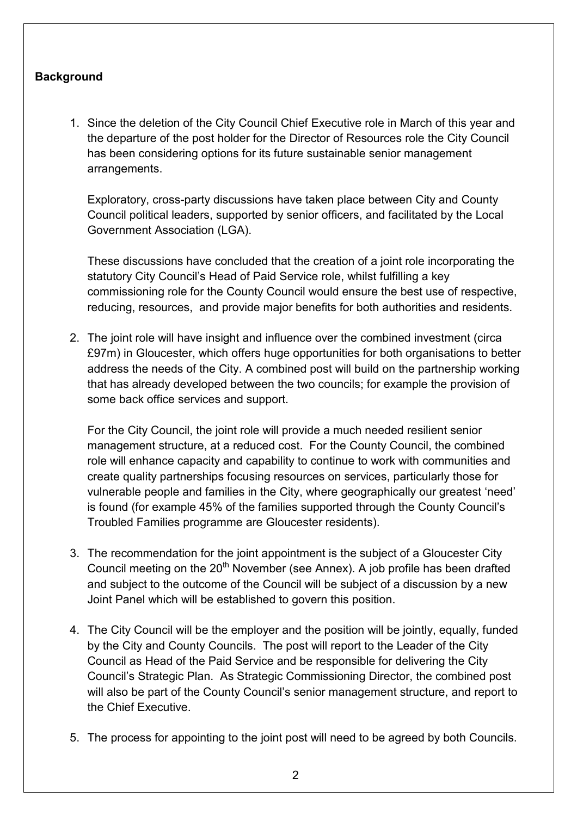## **Background**

1. Since the deletion of the City Council Chief Executive role in March of this year and the departure of the post holder for the Director of Resources role the City Council has been considering options for its future sustainable senior management arrangements.

Exploratory, cross-party discussions have taken place between City and County Council political leaders, supported by senior officers, and facilitated by the Local Government Association (LGA).

These discussions have concluded that the creation of a joint role incorporating the statutory City Council's Head of Paid Service role, whilst fulfilling a key commissioning role for the County Council would ensure the best use of respective, reducing, resources, and provide major benefits for both authorities and residents.

2. The joint role will have insight and influence over the combined investment (circa £97m) in Gloucester, which offers huge opportunities for both organisations to better address the needs of the City. A combined post will build on the partnership working that has already developed between the two councils; for example the provision of some back office services and support.

For the City Council, the joint role will provide a much needed resilient senior management structure, at a reduced cost. For the County Council, the combined role will enhance capacity and capability to continue to work with communities and create quality partnerships focusing resources on services, particularly those for vulnerable people and families in the City, where geographically our greatest 'need' is found (for example 45% of the families supported through the County Council's Troubled Families programme are Gloucester residents).

- 3. The recommendation for the joint appointment is the subject of a Gloucester City Council meeting on the  $20<sup>th</sup>$  November (see Annex). A job profile has been drafted and subject to the outcome of the Council will be subject of a discussion by a new Joint Panel which will be established to govern this position.
- 4. The City Council will be the employer and the position will be jointly, equally, funded by the City and County Councils. The post will report to the Leader of the City Council as Head of the Paid Service and be responsible for delivering the City Council's Strategic Plan. As Strategic Commissioning Director, the combined post will also be part of the County Council's senior management structure, and report to the Chief Executive.
- 5. The process for appointing to the joint post will need to be agreed by both Councils.